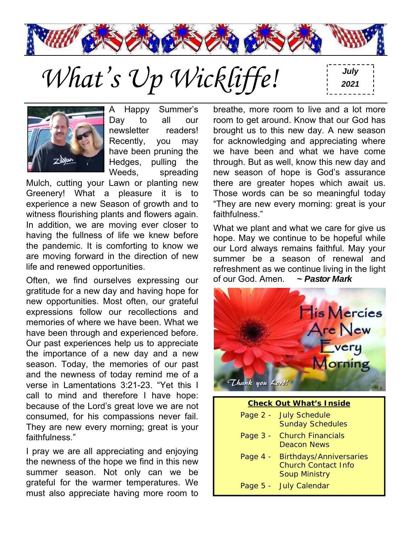

What's Up Wickliffe!



A Happy Summer's Day to all our newsletter readers! Recently, you may have been pruning the Hedges, pulling the Weeds, spreading

Mulch, cutting your Lawn or planting new Greenery! What a pleasure it is to experience a new Season of growth and to witness flourishing plants and flowers again. In addition, we are moving ever closer to having the fullness of life we knew before the pandemic. It is comforting to know we are moving forward in the direction of new life and renewed opportunities.

Often, we find ourselves expressing our gratitude for a new day and having hope for new opportunities. Most often, our grateful expressions follow our recollections and memories of where we have been. What we have been through and experienced before. Our past experiences help us to appreciate the importance of a new day and a new season. Today, the memories of our past and the newness of today remind me of a verse in Lamentations 3:21-23. "Yet this I call to mind and therefore I have hope: because of the Lord's great love we are not consumed, for his compassions never fail. They are new every morning; great is your faithfulness."

I pray we are all appreciating and enjoying the newness of the hope we find in this new summer season. Not only can we be grateful for the warmer temperatures. We must also appreciate having more room to

breathe, more room to live and a lot more room to get around. Know that our God has brought us to this new day. A new season for acknowledging and appreciating where we have been and what we have come through. But as well, know this new day and new season of hope is God's assurance there are greater hopes which await us. Those words can be so meaningful today "They are new every morning: great is your faithfulness."

What we plant and what we care for give us hope. May we continue to be hopeful while our Lord always remains faithful. May your summer be a season of renewal and refreshment as we continue living in the light of our God. Amen. *~ Pastor Mark*



| <b>Check Out What's Inside</b> |                                                                                      |  |  |  |
|--------------------------------|--------------------------------------------------------------------------------------|--|--|--|
|                                | Page 2 - July Schedule<br><b>Sunday Schedules</b>                                    |  |  |  |
|                                | Page 3 - Church Financials<br>Deacon News                                            |  |  |  |
| Page $4 -$                     | <b>Birthdays/Anniversaries</b><br><b>Church Contact Info</b><br><b>Soup Ministry</b> |  |  |  |
|                                | Page 5 - July Calendar                                                               |  |  |  |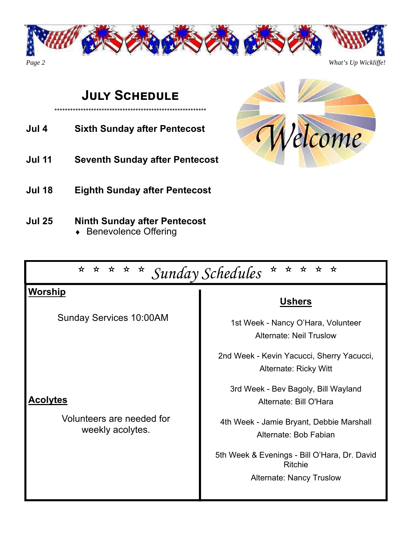

# **JULY SCHEDULE**

\*\*\*\*\*\*\*\*\*\*\*\*\*\*\*\*\*\*\*\*\*\*\*\*\*\*\*\*\*\*\*\*\*\*\*\*\*\*\*\*\*\*\*\*\*\*\*\*\*\*\*\*\*\*\*\*\*\*

- **Jul 4 Sixth Sunday after Pentecost**
- **Jul 11 Seventh Sunday after Pentecost**
- **Jul 18 Eighth Sunday after Pentecost**
- **Jul 25 Ninth Sunday after Pentecost**  ◆ Benevolence Offering

| * * * * *<br>$\star$<br>* * * Sunday Schedules<br>$\star$ |                                                                    |  |  |
|-----------------------------------------------------------|--------------------------------------------------------------------|--|--|
| <u>Worship</u><br><b>Sunday Services 10:00AM</b>          | <b>Ushers</b><br>1st Week - Nancy O'Hara, Volunteer                |  |  |
|                                                           | <b>Alternate: Neil Truslow</b>                                     |  |  |
|                                                           | 2nd Week - Kevin Yacucci, Sherry Yacucci,<br>Alternate: Ricky Witt |  |  |
| <b>Acolytes</b>                                           | 3rd Week - Bev Bagoly, Bill Wayland<br>Alternate: Bill O'Hara      |  |  |
| Volunteers are needed for<br>weekly acolytes.             | 4th Week - Jamie Bryant, Debbie Marshall<br>Alternate: Bob Fabian  |  |  |
|                                                           | 5th Week & Evenings - Bill O'Hara, Dr. David<br>Ritchie            |  |  |
|                                                           | <b>Alternate: Nancy Truslow</b>                                    |  |  |

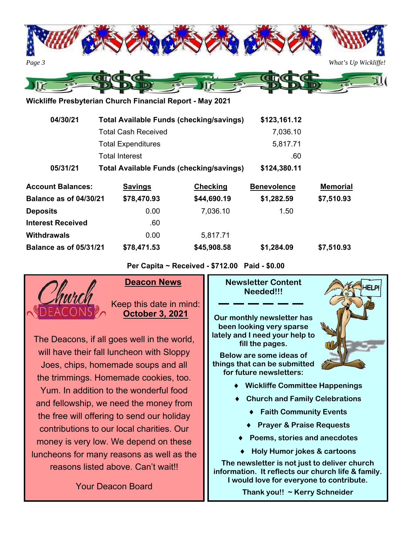

**Wickliffe Presbyterian Church Financial Report - May 2021** 

| 04/30/21                      |                            | <b>Total Available Funds (checking/savings)</b> | \$123,161.12                |                 |
|-------------------------------|----------------------------|-------------------------------------------------|-----------------------------|-----------------|
|                               | <b>Total Cash Received</b> |                                                 | 7,036.10<br>5,817.71<br>.60 |                 |
|                               | <b>Total Expenditures</b>  |                                                 |                             |                 |
|                               | <b>Total Interest</b>      |                                                 |                             |                 |
| 05/31/21                      |                            | <b>Total Available Funds (checking/savings)</b> | \$124,380.11                |                 |
| <b>Account Balances:</b>      | <b>Savings</b>             | <b>Checking</b>                                 | <b>Benevolence</b>          | <b>Memorial</b> |
| <b>Balance as of 04/30/21</b> | \$78,470.93                | \$44,690.19                                     | \$1,282.59                  | \$7,510.93      |
| <b>Deposits</b>               | 0.00                       | 7,036.10                                        | 1.50                        |                 |
| <b>Interest Received</b>      | .60                        |                                                 |                             |                 |
| Withdrawals                   | 0.00                       | 5,817.71                                        |                             |                 |
| <b>Balance as of 05/31/21</b> | \$78,471.53                | \$45,908.58                                     | \$1,284.09                  | \$7,510.93      |

**Per Capita ~ Received - \$712.00 Paid - \$0.00** 



### **Deacon New**

Keep this date i **October 3, 2** 

The Deacons, if all goes well in the will have their fall luncheon with  $SI$ Joes, chips, homemade soups an the trimmings. Homemade cookies Yum. In addition to the wonderful and fellowship, we need the money the free will offering to send our ho contributions to our local charities. money is very low. We depend on luncheons for many reasons as well reasons listed above. Can't wait

Your Deacon Board

| WS            | <b>Newsletter Content</b><br><b>HELP!</b><br>Needed!!!                              |
|---------------|-------------------------------------------------------------------------------------|
| n mind:       |                                                                                     |
| 2021          | Our monthly newsletter has<br>been looking very sparse                              |
| world,        | lately and I need your help to<br>fill the pages.                                   |
| oppy          | Below are some ideas of                                                             |
| d all         | things that can be submitted                                                        |
| , too.        | for future newsletters:                                                             |
| food          | <b>Wickliffe Committee Happenings</b>                                               |
| $\prime$ from | <b>Church and Family Celebrations</b>                                               |
| liday         | <b>Faith Community Events</b>                                                       |
| Our           | <b>Prayer &amp; Praise Requests</b>                                                 |
| these         | Poems, stories and anecdotes                                                        |
| as the        | <b>Holy Humor jokes &amp; cartoons</b>                                              |
| t‼            | The newsletter is not just to deliver church<br>.a. Itaaflaata ama akunak lifa 0 fa |

**information. It reflects our church life & family. I would love for everyone to contribute.** 

**Thank you!! ~ Kerry Schneider**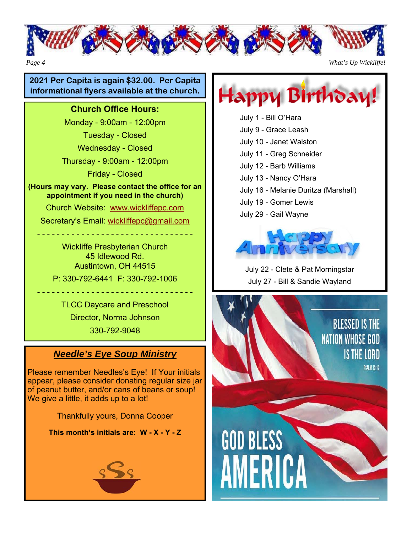

#### **2021 Per Capita is again \$32.00. Per Capita informational flyers available at the church.**

#### **Church Office Hours:**

Monday - 9:00am - 12:00pm

Tuesday - Closed

Wednesday - Closed

Thursday - 9:00am - 12:00pm

Friday - Closed

**(Hours may vary. Please contact the office for an appointment if you need in the church)** 

Church Website: www.wickliffepc.com

Secretary's Email: wickliffepc@gmail.com

- - - - - - - - - - - - - - - - - - - - - - - - - - - - - - - -

Wickliffe Presbyterian Church 45 Idlewood Rd. Austintown, OH 44515 P: 330-792-6441 F: 330-792-1006

TLCC Daycare and Preschool Director, Norma Johnson 330-792-9048

- - - - - - - - - - - - - - - - - - - - - - - - - - - - - - - -

## *Needle's Eye Soup Ministry*

Please remember Needles's Eye! If Your initials appear, please consider donating regular size jar of peanut butter, and/or cans of beans or soup! We give a little, it adds up to a lot!

Thankfully yours, Donna Cooper

**This month's initials are: W - X - Y - Z**





July 1 - Bill O'Hara July 9 - Grace Leash July 10 - Janet Walston July 11 - Greg Schneider July 12 - Barb Williams July 13 - Nancy O'Hara July 16 - Melanie Duritza (Marshall)

- July 19 Gomer Lewis
- July 29 Gail Wayne



July 22 - Clete & Pat Morningstar July 27 - Bill & Sandie Wayland